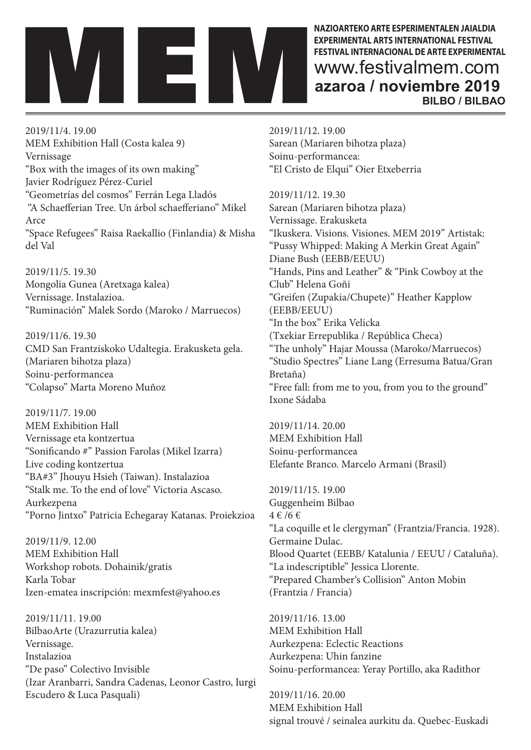

**NAZIOARTEKO ARTE ESPERIMENTALEN JAIALDIA EXPERIMENTAL ARTS INTERNATIONAL FESTIVAL FESTIVAL INTERNACIONAL DE ARTE EXPERIMENTAL** www.festivalmem.com **azaroa / noviembre 2019 BILBO / BILBAO**

2019/11/4. 19.00 MEM Exhibition Hall (Costa kalea 9) Vernissage "Box with the images of its own making" Javier Rodríguez Pérez-Curiel "Geometrías del cosmos" Ferrán Lega Lladós "A Schaefferian Tree. Un árbol schaefferiano" Mikel Arce "Space Refugees" Raisa Raekallio (Finlandia) & Misha del Val

2019/11/5. 19.30 Mongolia Gunea (Aretxaga kalea) Vernissage. Instalazioa. "Ruminación" Malek Sordo (Maroko / Marruecos)

2019/11/6. 19.30 CMD San Frantziskoko Udaltegia. Erakusketa gela. (Mariaren bihotza plaza) Soinu-performancea "Colapso" Marta Moreno Muñoz

2019/11/7. 19.00 MEM Exhibition Hall Vernissage eta kontzertua "Sonificando #" Passion Farolas (Mikel Izarra) Live coding kontzertua "BA#3" Jhouyu Hsieh (Taiwan). Instalazioa "Stalk me. To the end of love" Victoria Ascaso. Aurkezpena "Porno Jintxo" Patricia Echegaray Katanas. Proiekzioa

2019/11/9. 12.00 MEM Exhibition Hall Workshop robots. Dohainik/gratis Karla Tobar Izen-ematea inscripción: mexmfest@yahoo.es

2019/11/11. 19.00 BilbaoArte (Urazurrutia kalea) Vernissage. Instalazioa "De paso" Colectivo Invisible (Izar Aranbarri, Sandra Cadenas, Leonor Castro, Iurgi Escudero & Luca Pasquali)

2019/11/12. 19.00 Sarean (Mariaren bihotza plaza) Soinu-performancea: "El Cristo de Elqui" Oier Etxeberria

2019/11/12. 19.30 Sarean (Mariaren bihotza plaza) Vernissage. Erakusketa "Ikuskera. Visions. Visiones. MEM 2019" Artistak: "Pussy Whipped: Making A Merkin Great Again" Diane Bush (EEBB/EEUU) "Hands, Pins and Leather" & "Pink Cowboy at the Club" Helena Goñi "Greifen (Zupakia/Chupete)" Heather Kapplow (EEBB/EEUU) "In the box" Erika Velicka (Txekiar Errepublika / República Checa) "The unholy" Hajar Moussa (Maroko/Marruecos) "Studio Spectres" Liane Lang (Erresuma Batua/Gran Bretaña) "Free fall: from me to you, from you to the ground" Ixone Sádaba

2019/11/14. 20.00 MEM Exhibition Hall Soinu-performancea Elefante Branco. Marcelo Armani (Brasil)

2019/11/15. 19.00 Guggenheim Bilbao 4 € /6 € "La coquille et le clergyman" (Frantzia/Francia. 1928). Germaine Dulac. Blood Quartet (EEBB/ Katalunia / EEUU / Cataluña). "La indescriptible" Jessica Llorente. "Prepared Chamber's Collision" Anton Mobin (Frantzia / Francia)

2019/11/16. 13.00 MEM Exhibition Hall Aurkezpena: Eclectic Reactions Aurkezpena: Uhin fanzine Soinu-performancea: Yeray Portillo, aka Radithor

2019/11/16. 20.00 MEM Exhibition Hall signal trouvé / seinalea aurkitu da. Quebec-Euskadi